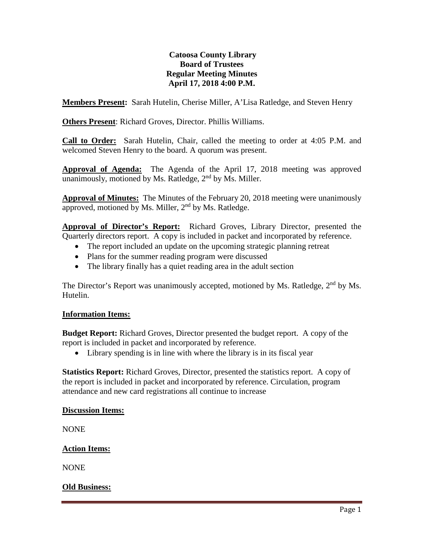# **Catoosa County Library Board of Trustees Regular Meeting Minutes April 17, 2018 4:00 P.M.**

**Members Present:** Sarah Hutelin, Cherise Miller, A'Lisa Ratledge, and Steven Henry

**Others Present**: Richard Groves, Director. Phillis Williams.

**Call to Order:** Sarah Hutelin, Chair, called the meeting to order at 4:05 P.M. and welcomed Steven Henry to the board. A quorum was present.

**Approval of Agenda:** The Agenda of the April 17, 2018 meeting was approved unanimously, motioned by Ms. Ratledge,  $2<sup>nd</sup>$  by Ms. Miller.

**Approval of Minutes:** The Minutes of the February 20, 2018 meeting were unanimously approved, motioned by Ms. Miller,  $2<sup>nd</sup>$  by Ms. Ratledge.

**Approval of Director's Report:** Richard Groves, Library Director, presented the Quarterly directors report. A copy is included in packet and incorporated by reference.

- The report included an update on the upcoming strategic planning retreat
- Plans for the summer reading program were discussed
- The library finally has a quiet reading area in the adult section

The Director's Report was unanimously accepted, motioned by Ms. Ratledge, 2<sup>nd</sup> by Ms. Hutelin.

# **Information Items:**

**Budget Report:** Richard Groves, Director presented the budget report. A copy of the report is included in packet and incorporated by reference.

• Library spending is in line with where the library is in its fiscal year

**Statistics Report:** Richard Groves, Director, presented the statistics report. A copy of the report is included in packet and incorporated by reference. Circulation, program attendance and new card registrations all continue to increase

# **Discussion Items:**

NONE

# **Action Items:**

NONE

# **Old Business:**